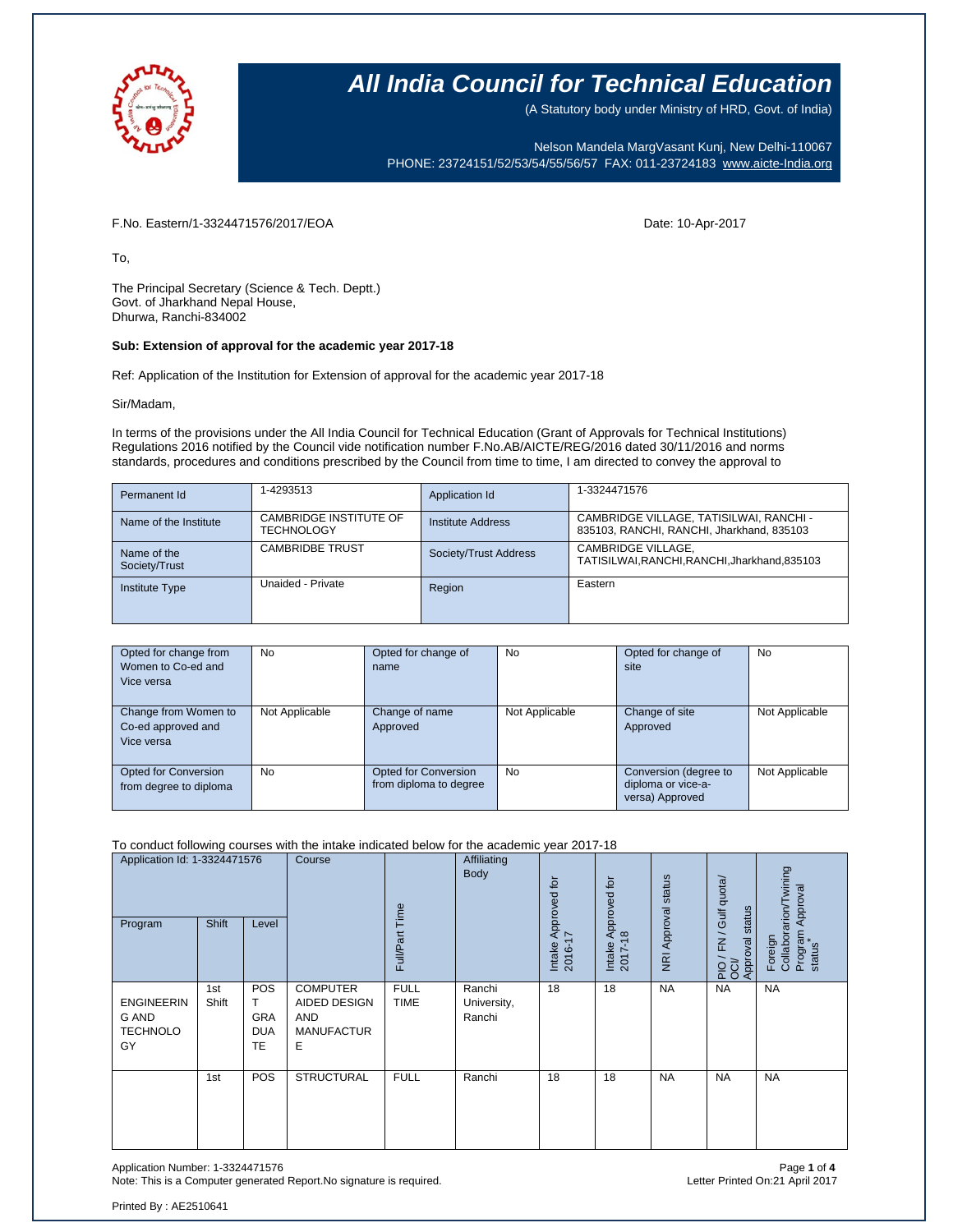

(A Statutory body under Ministry of HRD, Govt. of India)

Nelson Mandela MargVasant Kunj, New Delhi-110067 PHONE: 23724151/52/53/54/55/56/57 FAX: 011-23724183 [www.aicte-India.org](http://www.aicte-india.org/)

#### F.No. Eastern/1-3324471576/2017/EOA Date: 10-Apr-2017

To,

The Principal Secretary (Science & Tech. Deptt.) Govt. of Jharkhand Nepal House, Dhurwa, Ranchi-834002

#### **Sub: Extension of approval for the academic year 2017-18**

Ref: Application of the Institution for Extension of approval for the academic year 2017-18

#### Sir/Madam,

In terms of the provisions under the All India Council for Technical Education (Grant of Approvals for Technical Institutions) Regulations 2016 notified by the Council vide notification number F.No.AB/AICTE/REG/2016 dated 30/11/2016 and norms standards, procedures and conditions prescribed by the Council from time to time, I am directed to convey the approval to

| Permanent Id                 | 1-4293513                                   | Application Id           | 1-3324471576                                                                         |
|------------------------------|---------------------------------------------|--------------------------|--------------------------------------------------------------------------------------|
| Name of the Institute        | CAMBRIDGE INSTITUTE OF<br><b>TECHNOLOGY</b> | <b>Institute Address</b> | CAMBRIDGE VILLAGE, TATISILWAI, RANCHI -<br>835103, RANCHI, RANCHI, Jharkhand, 835103 |
| Name of the<br>Society/Trust | <b>CAMBRIDBE TRUST</b>                      | Society/Trust Address    | CAMBRIDGE VILLAGE.<br>TATISILWAI, RANCHI, RANCHI, Jharkhand, 835103                  |
| <b>Institute Type</b>        | Unaided - Private                           | Region                   | Eastern                                                                              |

| Opted for change from       | No             | Opted for change of    | <b>No</b>      | Opted for change of   | No             |
|-----------------------------|----------------|------------------------|----------------|-----------------------|----------------|
| Women to Co-ed and          |                | name                   |                | site                  |                |
| Vice versa                  |                |                        |                |                       |                |
|                             |                |                        |                |                       |                |
| Change from Women to        | Not Applicable | Change of name         | Not Applicable | Change of site        | Not Applicable |
| Co-ed approved and          |                | Approved               |                | Approved              |                |
| Vice versa                  |                |                        |                |                       |                |
|                             |                |                        |                |                       |                |
| <b>Opted for Conversion</b> | <b>No</b>      | Opted for Conversion   | <b>No</b>      | Conversion (degree to | Not Applicable |
| from degree to diploma      |                | from diploma to degree |                | diploma or vice-a-    |                |
|                             |                |                        |                | versa) Approved       |                |

#### To conduct following courses with the intake indicated below for the academic year 2017-18

| Application Id: 1-3324471576<br>Shift<br>Program<br>Level  |              | Course                                            | Time<br>Full/Part                                                       | Affiliating<br>Body        | Intake Approved for<br>2016-17  | Approved for<br>$\frac{8}{2}$<br>Intake<br>2017- | NRI Approval status | FN / Gulf quota/<br>status<br>Approval<br>20 | Collaborarion/Twining<br>Program Approval<br>status<br>Foreign |           |
|------------------------------------------------------------|--------------|---------------------------------------------------|-------------------------------------------------------------------------|----------------------------|---------------------------------|--------------------------------------------------|---------------------|----------------------------------------------|----------------------------------------------------------------|-----------|
| <b>ENGINEERIN</b><br><b>G AND</b><br><b>TECHNOLO</b><br>GY | 1st<br>Shift | POS<br>т<br><b>GRA</b><br><b>DUA</b><br><b>TE</b> | <b>COMPUTER</b><br><b>AIDED DESIGN</b><br>AND<br><b>MANUFACTUR</b><br>Е | <b>FULL</b><br><b>TIME</b> | Ranchi<br>University,<br>Ranchi | 18                                               | 18                  | <b>NA</b>                                    | <b>NA</b>                                                      | <b>NA</b> |
|                                                            | 1st          | POS                                               | <b>STRUCTURAL</b>                                                       | <b>FULL</b>                | Ranchi                          | 18                                               | 18                  | <b>NA</b>                                    | <b>NA</b>                                                      | <b>NA</b> |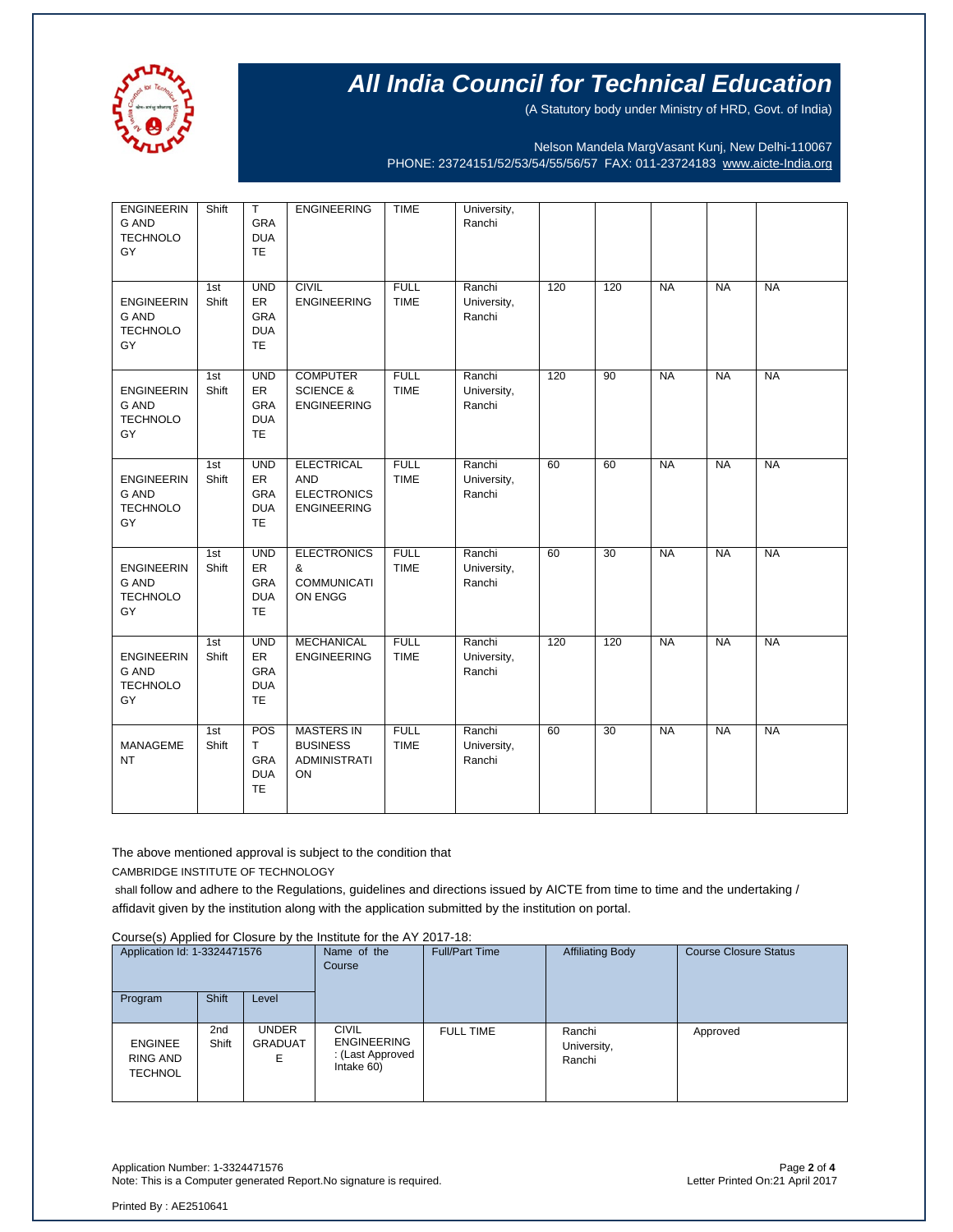

(A Statutory body under Ministry of HRD, Govt. of India)

Nelson Mandela MargVasant Kunj, New Delhi-110067 PHONE: 23724151/52/53/54/55/56/57 FAX: 011-23724183 [www.aicte-India.org](http://www.aicte-india.org/)

| <b>ENGINEERIN</b><br><b>G AND</b><br><b>TECHNOLO</b><br>GY | Shift        | $\mathsf T$<br>GRA<br><b>DUA</b><br><b>TE</b>      | <b>ENGINEERING</b>                                                          | <b>TIME</b>                | University,<br>Ranchi           |     |                 |           |           |           |
|------------------------------------------------------------|--------------|----------------------------------------------------|-----------------------------------------------------------------------------|----------------------------|---------------------------------|-----|-----------------|-----------|-----------|-----------|
| <b>ENGINEERIN</b><br><b>G AND</b><br><b>TECHNOLO</b><br>GY | 1st<br>Shift | <b>UND</b><br>ER<br>GRA<br><b>DUA</b><br><b>TE</b> | <b>CIVIL</b><br><b>ENGINEERING</b>                                          | <b>FULL</b><br><b>TIME</b> | Ranchi<br>University,<br>Ranchi | 120 | 120             | <b>NA</b> | <b>NA</b> | <b>NA</b> |
| <b>ENGINEERIN</b><br><b>G AND</b><br><b>TECHNOLO</b><br>GY | 1st<br>Shift | <b>UND</b><br>ER<br>GRA<br><b>DUA</b><br><b>TE</b> | <b>COMPUTER</b><br><b>SCIENCE &amp;</b><br><b>ENGINEERING</b>               | <b>FULL</b><br><b>TIME</b> | Ranchi<br>University,<br>Ranchi | 120 | $\overline{90}$ | <b>NA</b> | <b>NA</b> | <b>NA</b> |
| <b>ENGINEERIN</b><br><b>G AND</b><br><b>TECHNOLO</b><br>GY | 1st<br>Shift | <b>UND</b><br>ER<br>GRA<br><b>DUA</b><br><b>TE</b> | <b>ELECTRICAL</b><br><b>AND</b><br><b>ELECTRONICS</b><br><b>ENGINEERING</b> | <b>FULL</b><br><b>TIME</b> | Ranchi<br>University,<br>Ranchi | 60  | 60              | <b>NA</b> | <b>NA</b> | <b>NA</b> |
| <b>ENGINEERIN</b><br>G AND<br><b>TECHNOLO</b><br>GY        | 1st<br>Shift | <b>UND</b><br>ER<br>GRA<br><b>DUA</b><br><b>TE</b> | <b>ELECTRONICS</b><br>&<br><b>COMMUNICATI</b><br>ON ENGG                    | <b>FULL</b><br><b>TIME</b> | Ranchi<br>University,<br>Ranchi | 60  | $\overline{30}$ | <b>NA</b> | <b>NA</b> | <b>NA</b> |
| <b>ENGINEERIN</b><br><b>G AND</b><br><b>TECHNOLO</b><br>GY | 1st<br>Shift | <b>UND</b><br>ER<br>GRA<br><b>DUA</b><br><b>TE</b> | <b>MECHANICAL</b><br><b>ENGINEERING</b>                                     | <b>FULL</b><br><b>TIME</b> | Ranchi<br>University,<br>Ranchi | 120 | 120             | <b>NA</b> | <b>NA</b> | <b>NA</b> |
| <b>MANAGEME</b><br><b>NT</b>                               | 1st<br>Shift | POS<br>T.<br><b>GRA</b><br><b>DUA</b><br><b>TE</b> | <b>MASTERS IN</b><br><b>BUSINESS</b><br><b>ADMINISTRATI</b><br>ON           | <b>FULL</b><br><b>TIME</b> | Ranchi<br>University,<br>Ranchi | 60  | 30              | <b>NA</b> | <b>NA</b> | <b>NA</b> |

The above mentioned approval is subject to the condition that CAMBRIDGE INSTITUTE OF TECHNOLOGY

shall follow and adhere to the Regulations, guidelines and directions issued by AICTE from time to time and the undertaking / affidavit given by the institution along with the application submitted by the institution on portal.

Course(s) Applied for Closure by the Institute for the AY 2017-18:

| <b>OUGLOUP APPIICATOL ORGANIC BY THE INSTITUTION THE ATT ZUTTER</b> |                          |                                |                                    |                       |                         |                              |  |  |  |
|---------------------------------------------------------------------|--------------------------|--------------------------------|------------------------------------|-----------------------|-------------------------|------------------------------|--|--|--|
| Application Id: 1-3324471576                                        |                          |                                | Name of the                        | <b>Full/Part Time</b> | <b>Affiliating Body</b> | <b>Course Closure Status</b> |  |  |  |
|                                                                     |                          | Course                         |                                    |                       |                         |                              |  |  |  |
| Program                                                             | <b>Shift</b>             | Level                          |                                    |                       |                         |                              |  |  |  |
| <b>ENGINEE</b>                                                      | 2 <sub>nd</sub><br>Shift | <b>UNDER</b><br><b>GRADUAT</b> | <b>CIVIL</b><br><b>ENGINEERING</b> | <b>FULL TIME</b>      | Ranchi<br>University,   | Approved                     |  |  |  |
| RING AND<br><b>TECHNOL</b>                                          |                          | E                              | : (Last Approved<br>Intake 60)     |                       | Ranchi                  |                              |  |  |  |
|                                                                     |                          |                                |                                    |                       |                         |                              |  |  |  |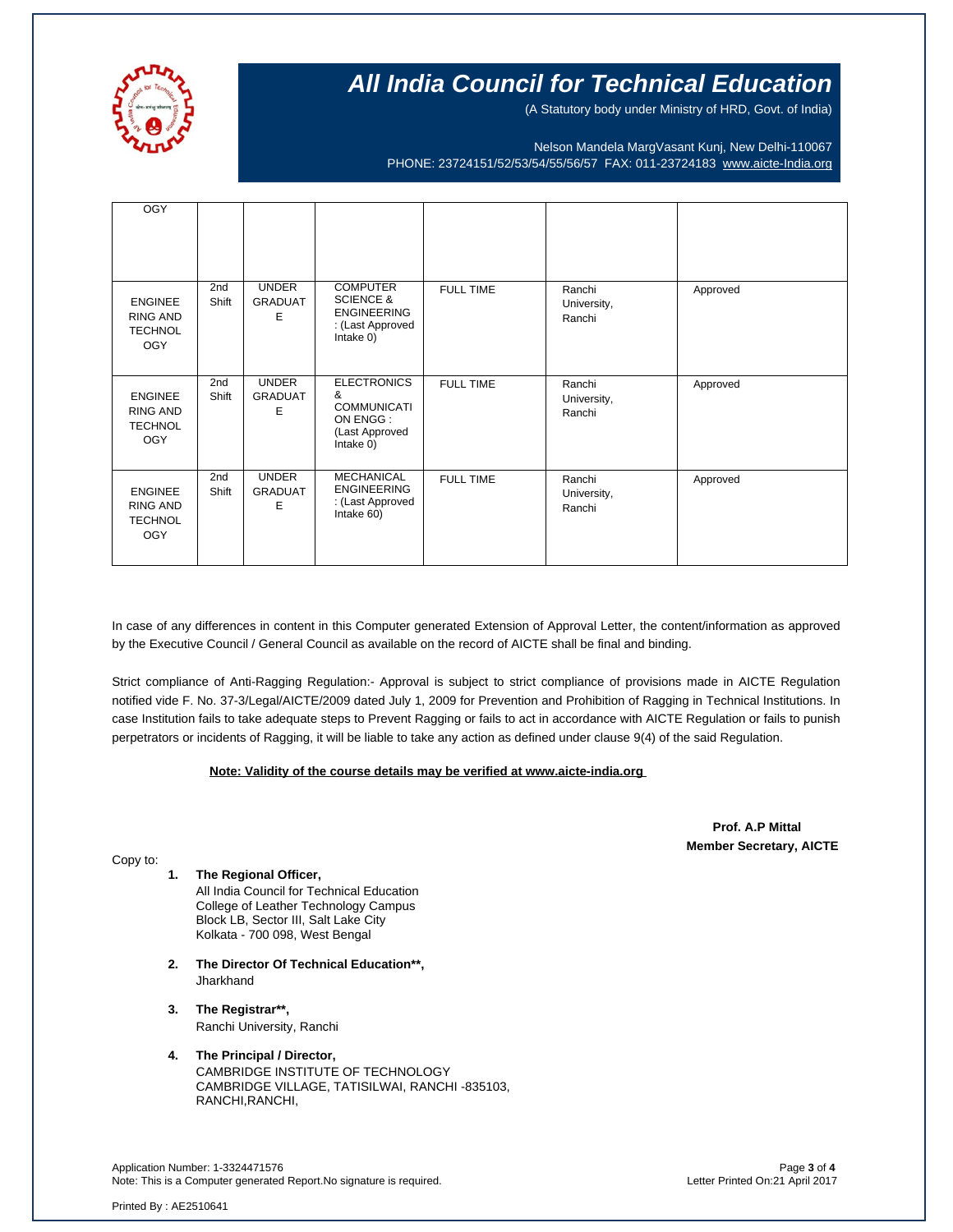

(A Statutory body under Ministry of HRD, Govt. of India)

Nelson Mandela MargVasant Kunj, New Delhi-110067 PHONE: 23724151/52/53/54/55/56/57 FAX: 011-23724183 [www.aicte-India.org](http://www.aicte-india.org/)

| <b>OGY</b>                                                        |              |                                     |                                                                                                |                  |                                 |          |
|-------------------------------------------------------------------|--------------|-------------------------------------|------------------------------------------------------------------------------------------------|------------------|---------------------------------|----------|
| <b>ENGINEE</b><br><b>RING AND</b><br><b>TECHNOL</b><br><b>OGY</b> | 2nd<br>Shift | <b>UNDER</b><br><b>GRADUAT</b><br>Е | <b>COMPUTER</b><br><b>SCIENCE &amp;</b><br><b>ENGINEERING</b><br>: (Last Approved<br>Intake 0) | <b>FULL TIME</b> | Ranchi<br>University,<br>Ranchi | Approved |
| <b>ENGINEE</b><br>RING AND<br><b>TECHNOL</b><br><b>OGY</b>        | 2nd<br>Shift | <b>UNDER</b><br><b>GRADUAT</b><br>Ε | <b>ELECTRONICS</b><br>&<br><b>COMMUNICATI</b><br>ON ENGG:<br>(Last Approved<br>Intake $0$ )    | <b>FULL TIME</b> | Ranchi<br>University,<br>Ranchi | Approved |
| <b>ENGINEE</b><br>RING AND<br><b>TECHNOL</b><br><b>OGY</b>        | 2nd<br>Shift | <b>UNDER</b><br><b>GRADUAT</b><br>F | <b>MECHANICAL</b><br><b>ENGINEERING</b><br>: (Last Approved<br>Intake 60)                      | <b>FULL TIME</b> | Ranchi<br>University,<br>Ranchi | Approved |

In case of any differences in content in this Computer generated Extension of Approval Letter, the content/information as approved by the Executive Council / General Council as available on the record of AICTE shall be final and binding.

Strict compliance of Anti-Ragging Regulation:- Approval is subject to strict compliance of provisions made in AICTE Regulation notified vide F. No. 37-3/Legal/AICTE/2009 dated July 1, 2009 for Prevention and Prohibition of Ragging in Technical Institutions. In case Institution fails to take adequate steps to Prevent Ragging or fails to act in accordance with AICTE Regulation or fails to punish perpetrators or incidents of Ragging, it will be liable to take any action as defined under clause 9(4) of the said Regulation.

#### **Note: Validity of the course details may be verified at www.aicte-india.org**

 **Prof. A.P Mittal Member Secretary, AICTE**

Copy to: **1. The Regional Officer,**

All India Council for Technical Education College of Leather Technology Campus Block LB, Sector III, Salt Lake City Kolkata - 700 098, West Bengal

- **2. The Director Of Technical Education\*\*,** Jharkhand
- **3. The Registrar\*\*,** Ranchi University, Ranchi
- **4. The Principal / Director,** CAMBRIDGE INSTITUTE OF TECHNOLOGY CAMBRIDGE VILLAGE, TATISILWAI, RANCHI -835103, RANCHI,RANCHI,

Application Number: 1-3324471576<br>Note: This is a Computer generated Report.No signature is required.<br>Letter Printed On:21 April 2017 Note: This is a Computer generated Report.No signature is required.

Printed By : AE2510641